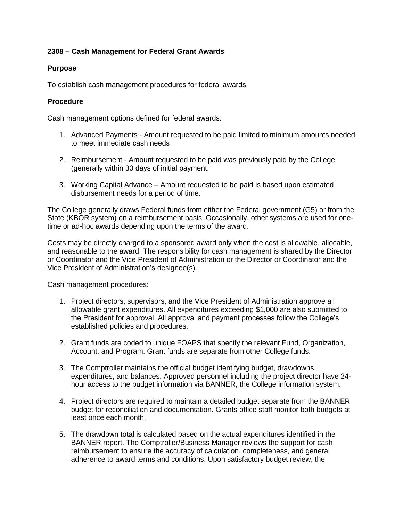# **2308 – Cash Management for Federal Grant Awards**

### **Purpose**

To establish cash management procedures for federal awards.

### **Procedure**

Cash management options defined for federal awards:

- 1. Advanced Payments Amount requested to be paid limited to minimum amounts needed to meet immediate cash needs
- 2. Reimbursement Amount requested to be paid was previously paid by the College (generally within 30 days of initial payment.
- 3. Working Capital Advance Amount requested to be paid is based upon estimated disbursement needs for a period of time.

The College generally draws Federal funds from either the Federal government (G5) or from the State (KBOR system) on a reimbursement basis. Occasionally, other systems are used for onetime or ad-hoc awards depending upon the terms of the award.

Costs may be directly charged to a sponsored award only when the cost is allowable, allocable, and reasonable to the award. The responsibility for cash management is shared by the Director or Coordinator and the Vice President of Administration or the Director or Coordinator and the Vice President of Administration's designee(s).

Cash management procedures:

- 1. Project directors, supervisors, and the Vice President of Administration approve all allowable grant expenditures. All expenditures exceeding \$1,000 are also submitted to the President for approval. All approval and payment processes follow the College's established policies and procedures.
- 2. Grant funds are coded to unique FOAPS that specify the relevant Fund, Organization, Account, and Program. Grant funds are separate from other College funds.
- 3. The Comptroller maintains the official budget identifying budget, drawdowns, expenditures, and balances. Approved personnel including the project director have 24 hour access to the budget information via BANNER, the College information system.
- 4. Project directors are required to maintain a detailed budget separate from the BANNER budget for reconciliation and documentation. Grants office staff monitor both budgets at least once each month.
- 5. The drawdown total is calculated based on the actual expenditures identified in the BANNER report. The Comptroller/Business Manager reviews the support for cash reimbursement to ensure the accuracy of calculation, completeness, and general adherence to award terms and conditions. Upon satisfactory budget review, the